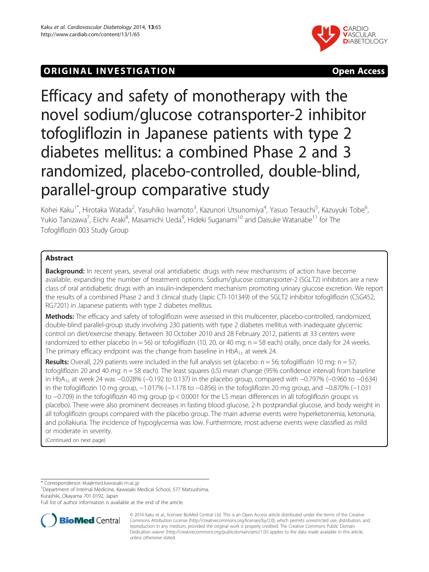# **ORIGINAL INVESTIGATION CONSIDERING ACCESS**



# Efficacy and safety of monotherapy with the novel sodium/glucose cotransporter-2 inhibitor tofogliflozin in Japanese patients with type 2 diabetes mellitus: a combined Phase 2 and 3 randomized, placebo-controlled, double-blind, parallel-group comparative study

Kohei Kaku<sup>1\*</sup>, Hirotaka Watada<sup>2</sup>, Yasuhiko Iwamoto<sup>3</sup>, Kazunori Utsunomiya<sup>4</sup>, Yasuo Terauchi<sup>5</sup>, Kazuyuki Tobe<sup>6</sup> , Yukio Tanizawa<sup>7</sup>, Eiichi Araki<sup>8</sup>, Masamichi Ueda<sup>9</sup>, Hideki Suganami<sup>10</sup> and Daisuke Watanabe<sup>11</sup> for The Tofogliflozin 003 Study Group

# Abstract

Background: In recent years, several oral antidiabetic drugs with new mechanisms of action have become available, expanding the number of treatment options. Sodium/glucose cotransporter-2 (SGLT2) inhibitors are a new class of oral antidiabetic drugs with an insulin-independent mechanism promoting urinary glucose excretion. We report the results of a combined Phase 2 and 3 clinical study (Japic CTI-101349) of the SGLT2 inhibitor tofogliflozin (CSG452, RG7201) in Japanese patients with type 2 diabetes mellitus.

Methods: The efficacy and safety of tofogliflozin were assessed in this multicenter, placebo-controlled, randomized, double-blind parallel-group study involving 230 patients with type 2 diabetes mellitus with inadequate glycemic control on diet/exercise therapy. Between 30 October 2010 and 28 February 2012, patients at 33 centers were randomized to either placebo ( $n = 56$ ) or tofogliflozin (10, 20, or 40 mg;  $n = 58$  each) orally, once daily for 24 weeks. The primary efficacy endpoint was the change from baseline in  $HbA_{1c}$  at week 24.

Results: Overall, 229 patients were included in the full analysis set (placebo:  $n = 56$ ; tofogliflozin 10 mg:  $n = 57$ ; tofogliflozin 20 and 40 mg: n = 58 each). The least squares (LS) mean change (95% confidence interval) from baseline in HbA<sub>1c</sub> at week 24 was −0.028% (−0.192 to 0.137) in the placebo group, compared with −0.797% (−0.960 to −0.634) in the tofogliflozin 10 mg group, −1.017% (−1.178 to −0.856) in the tofogliflozin 20 mg group, and −0.870% (−1.031 to −0.709) in the tofogliflozin 40 mg group (p < 0.0001 for the LS mean differences in all tofogliflozin groups vs placebo). There were also prominent decreases in fasting blood glucose, 2-h postprandial glucose, and body weight in all tofogliflozin groups compared with the placebo group. The main adverse events were hyperketonemia, ketonuria, and pollakiuria. The incidence of hypoglycemia was low. Furthermore, most adverse events were classified as mild or moderate in severity.

(Continued on next page)

\* Correspondence: [kka@med.kawasaki-m.ac.jp](mailto:kka@med.kawasaki-m.ac.jp) <sup>1</sup>

<sup>1</sup>Department of Internal Medicine, Kawasaki Medical School, 577 Matsushima, Kurashiki, Okayama 701-0192, Japan

Full list of author information is available at the end of the article



© 2014 Kaku et al.; licensee BioMed Central Ltd. This is an Open Access article distributed under the terms of the Creative Commons Attribution License [\(http://creativecommons.org/licenses/by/2.0\)](http://creativecommons.org/licenses/by/2.0), which permits unrestricted use, distribution, and reproduction in any medium, provided the original work is properly credited. The Creative Commons Public Domain Dedication waiver [\(http://creativecommons.org/publicdomain/zero/1.0/](http://creativecommons.org/publicdomain/zero/1.0/)) applies to the data made available in this article, unless otherwise stated.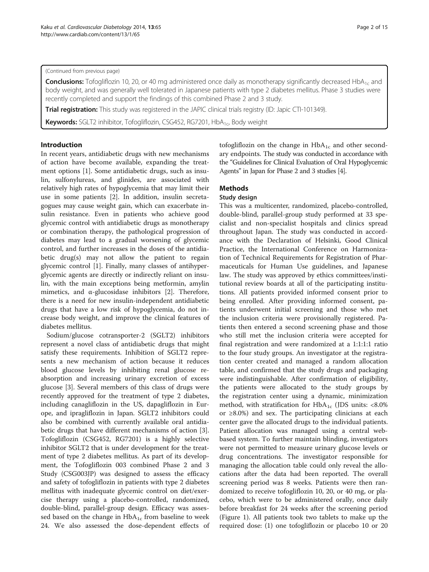### (Continued from previous page)

Conclusions: Tofogliflozin 10, 20, or 40 mg administered once daily as monotherapy significantly decreased HbA<sub>1c</sub> and body weight, and was generally well tolerated in Japanese patients with type 2 diabetes mellitus. Phase 3 studies were recently completed and support the findings of this combined Phase 2 and 3 study.

Trial registration: This study was registered in the JAPIC clinical trials registry (ID: [Japic CTI-101349](http://www.clinicaltrials.jp/user/showCteDetailE.jsp?japicId=JapicCTI-101349)).

Keywords: SGLT2 inhibitor, Tofogliflozin, CSG452, RG7201, HbA<sub>1c</sub>, Body weight

# Introduction

In recent years, antidiabetic drugs with new mechanisms of action have become available, expanding the treatment options [[1\]](#page-14-0). Some antidiabetic drugs, such as insulin, sulfonylureas, and glinides, are associated with relatively high rates of hypoglycemia that may limit their use in some patients [[2\]](#page-14-0). In addition, insulin secretagogues may cause weight gain, which can exacerbate insulin resistance. Even in patients who achieve good glycemic control with antidiabetic drugs as monotherapy or combination therapy, the pathological progression of diabetes may lead to a gradual worsening of glycemic control, and further increases in the doses of the antidiabetic drug(s) may not allow the patient to regain glycemic control [[1](#page-14-0)]. Finally, many classes of antihyperglycemic agents are directly or indirectly reliant on insulin, with the main exceptions being metformin, amylin mimetics, and  $\alpha$ -glucosidase inhibitors [\[2](#page-14-0)]. Therefore, there is a need for new insulin-independent antidiabetic drugs that have a low risk of hypoglycemia, do not increase body weight, and improve the clinical features of diabetes mellitus.

Sodium/glucose cotransporter-2 (SGLT2) inhibitors represent a novel class of antidiabetic drugs that might satisfy these requirements. Inhibition of SGLT2 represents a new mechanism of action because it reduces blood glucose levels by inhibiting renal glucose reabsorption and increasing urinary excretion of excess glucose [[3\]](#page-14-0). Several members of this class of drugs were recently approved for the treatment of type 2 diabetes, including canagliflozin in the US, dapagliflozin in Europe, and ipragliflozin in Japan. SGLT2 inhibitors could also be combined with currently available oral antidiabetic drugs that have different mechanisms of action [\[3](#page-14-0)]. Tofogliflozin (CSG452, RG7201) is a highly selective inhibitor SGLT2 that is under development for the treatment of type 2 diabetes mellitus. As part of its development, the Tofogliflozin 003 combined Phase 2 and 3 Study (CSG003JP) was designed to assess the efficacy and safety of tofogliflozin in patients with type 2 diabetes mellitus with inadequate glycemic control on diet/exercise therapy using a placebo-controlled, randomized, double-blind, parallel-group design. Efficacy was assessed based on the change in  $HbA_{1c}$  from baseline to week 24. We also assessed the dose-dependent effects of tofogliflozin on the change in  $HbA_{1c}$  and other secondary endpoints. The study was conducted in accordance with the "Guidelines for Clinical Evaluation of Oral Hypoglycemic

Agents" in Japan for Phase 2 and 3 studies [\[4\]](#page-14-0).

# Methods

# Study design

This was a multicenter, randomized, placebo-controlled, double-blind, parallel-group study performed at 33 specialist and non-specialist hospitals and clinics spread throughout Japan. The study was conducted in accordance with the Declaration of Helsinki, Good Clinical Practice, the International Conference on Harmonization of Technical Requirements for Registration of Pharmaceuticals for Human Use guidelines, and Japanese law. The study was approved by ethics committees/institutional review boards at all of the participating institutions. All patients provided informed consent prior to being enrolled. After providing informed consent, patients underwent initial screening and those who met the inclusion criteria were provisionally registered. Patients then entered a second screening phase and those who still met the inclusion criteria were accepted for final registration and were randomized at a 1:1:1:1 ratio to the four study groups. An investigator at the registration center created and managed a random allocation table, and confirmed that the study drugs and packaging were indistinguishable. After confirmation of eligibility, the patients were allocated to the study groups by the registration center using a dynamic, minimization method, with stratification for  $HbA_{1c}$  (JDS units: <8.0% or ≥8.0%) and sex. The participating clinicians at each center gave the allocated drugs to the individual patients. Patient allocation was managed using a central webbased system. To further maintain blinding, investigators were not permitted to measure urinary glucose levels or drug concentrations. The investigator responsible for managing the allocation table could only reveal the allocations after the data had been reported. The overall screening period was 8 weeks. Patients were then randomized to receive tofogliflozin 10, 20, or 40 mg, or placebo, which were to be administered orally, once daily before breakfast for 24 weeks after the screening period (Figure [1](#page-2-0)). All patients took two tablets to make up the required dose: (1) one tofogliflozin or placebo 10 or 20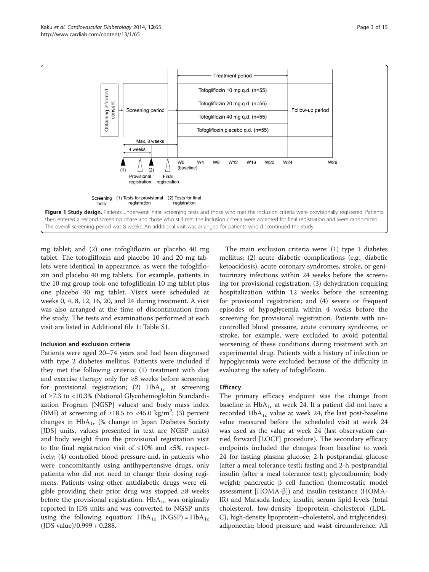<span id="page-2-0"></span>

mg tablet; and (2) one tofogliflozin or placebo 40 mg tablet. The tofogliflozin and placebo 10 and 20 mg tablets were identical in appearance, as were the tofogliflozin and placebo 40 mg tablets. For example, patients in the 10 mg group took one tofogliflozin 10 mg tablet plus one placebo 40 mg tablet. Visits were scheduled at weeks 0, 4, 8, 12, 16, 20, and 24 during treatment. A visit was also arranged at the time of discontinuation from the study. The tests and examinations performed at each visit are listed in Additional file [1](#page-12-0): Table S1.

#### Inclusion and exclusion criteria

Patients were aged 20–74 years and had been diagnosed with type 2 diabetes mellitus. Patients were included if they met the following criteria: (1) treatment with diet and exercise therapy only for  $\geq 8$  weeks before screening for provisional registration; (2)  $HbA_{1c}$  at screening of ≥7.3 to <10.3% (National Glycohemoglobin Standardization Program [NGSP] values) and body mass index (BMI) at screening of  $\geq$ 18.5 to <45.0 kg/m<sup>2</sup>; (3) percent changes in  $HbA_{1c}$  (% change in Japan Diabetes Society [JDS] units, values presented in text are NGSP units) and body weight from the provisional registration visit to the final registration visit of  $\leq 10\%$  and  $< 5\%$ , respectively; (4) controlled blood pressure and, in patients who were concomitantly using antihypertensive drugs, only patients who did not need to change their dosing regimens. Patients using other antidiabetic drugs were eligible providing their prior drug was stopped ≥8 weeks before the provisional registration.  $HbA_{1c}$  was originally reported in JDS units and was converted to NGSP units using the following equation:  $HbA_{1c}$  (NGSP) =  $HbA_{1c}$ (JDS value)/0.999 + 0.288.

The main exclusion criteria were: (1) type 1 diabetes mellitus; (2) acute diabetic complications (e.g., diabetic ketoacidosis), acute coronary syndromes, stroke, or genitourinary infections within 24 weeks before the screening for provisional registration; (3) dehydration requiring hospitalization within 12 weeks before the screening for provisional registration; and (4) severe or frequent episodes of hypoglycemia within 4 weeks before the screening for provisional registration. Patients with uncontrolled blood pressure, acute coronary syndrome, or stroke, for example, were excluded to avoid potential worsening of these conditions during treatment with an experimental drug. Patients with a history of infection or hypoglycemia were excluded because of the difficulty in evaluating the safety of tofogliflozin.

# **Efficacy**

The primary efficacy endpoint was the change from baseline in  $HbA_{1c}$  at week 24. If a patient did not have a recorded  $HbA_{1c}$  value at week 24, the last post-baseline value measured before the scheduled visit at week 24 was used as the value at week 24 (last observation carried forward [LOCF] procedure). The secondary efficacy endpoints included the changes from baseline to week 24 for fasting plasma glucose; 2-h postprandial glucose (after a meal tolerance test); fasting and 2-h postprandial insulin (after a meal tolerance test); glycoalbumin; body weight; pancreatic β cell function (homeostatic model assessment [HOMA-β]) and insulin resistance (HOMA-IR) and Matsuda Index; insulin, serum lipid levels (total cholesterol, low-density lipoprotein–cholesterol (LDL-C), high-density lipoprotein–cholesterol, and triglycerides); adiponectin; blood pressure; and waist circumference. All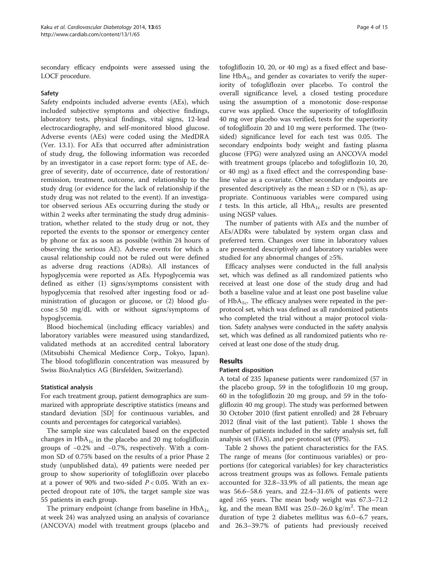secondary efficacy endpoints were assessed using the LOCF procedure.

#### Safety

Safety endpoints included adverse events (AEs), which included subjective symptoms and objective findings, laboratory tests, physical findings, vital signs, 12-lead electrocardiography, and self-monitored blood glucose. Adverse events (AEs) were coded using the MedDRA (Ver. 13.1). For AEs that occurred after administration of study drug, the following information was recorded by an investigator in a case report form: type of AE, degree of severity, date of occurrence, date of restoration/ remission, treatment, outcome, and relationship to the study drug (or evidence for the lack of relationship if the study drug was not related to the event). If an investigator observed serious AEs occurring during the study or within 2 weeks after terminating the study drug administration, whether related to the study drug or not, they reported the events to the sponsor or emergency center by phone or fax as soon as possible (within 24 hours of observing the serious AE). Adverse events for which a causal relationship could not be ruled out were defined as adverse drug reactions (ADRs). All instances of hypoglycemia were reported as AEs. Hypoglycemia was defined as either (1) signs/symptoms consistent with hypoglycemia that resolved after ingesting food or administration of glucagon or glucose, or (2) blood glu- $\cos\epsilon \leq 50$  mg/dL with or without signs/symptoms of hypoglycemia.

Blood biochemical (including efficacy variables) and laboratory variables were measured using standardized, validated methods at an accredited central laboratory (Mitsubishi Chemical Medience Corp., Tokyo, Japan). The blood tofogliflozin concentration was measured by Swiss BioAnalytics AG (Birsfelden, Switzerland).

#### Statistical analysis

For each treatment group, patient demographics are summarized with appropriate descriptive statistics (means and standard deviation [SD] for continuous variables, and counts and percentages for categorical variables).

The sample size was calculated based on the expected changes in  $HbA_{1c}$  in the placebo and 20 mg tofogliflozin groups of −0.2% and −0.7%, respectively. With a common SD of 0.75% based on the results of a prior Phase 2 study (unpublished data), 49 patients were needed per group to show superiority of tofogliflozin over placebo at a power of 90% and two-sided  $P < 0.05$ . With an expected dropout rate of 10%, the target sample size was 55 patients in each group.

The primary endpoint (change from baseline in  $HbA_{1c}$ at week 24) was analyzed using an analysis of covariance (ANCOVA) model with treatment groups (placebo and

tofogliflozin 10, 20, or 40 mg) as a fixed effect and baseline  $HbA_{1c}$  and gender as covariates to verify the superiority of tofogliflozin over placebo. To control the overall significance level, a closed testing procedure using the assumption of a monotonic dose-response curve was applied. Once the superiority of tofogliflozin 40 mg over placebo was verified, tests for the superiority of tofogliflozin 20 and 10 mg were performed. The (twosided) significance level for each test was 0.05. The secondary endpoints body weight and fasting plasma glucose (FPG) were analyzed using an ANCOVA model with treatment groups (placebo and tofogliflozin 10, 20, or 40 mg) as a fixed effect and the corresponding baseline value as a covariate. Other secondary endpoints are presented descriptively as the mean  $\pm$  SD or n  $(\%)$ , as appropriate. Continuous variables were compared using t tests. In this article, all  $HbA_{1c}$  results are presented using NGSP values.

The number of patients with AEs and the number of AEs/ADRs were tabulated by system organ class and preferred term. Changes over time in laboratory values are presented descriptively and laboratory variables were studied for any abnormal changes of ≥5%.

Efficacy analyses were conducted in the full analysis set, which was defined as all randomized patients who received at least one dose of the study drug and had both a baseline value and at least one post baseline value of  $HbA_{1c}$ . The efficacy analyses were repeated in the perprotocol set, which was defined as all randomized patients who completed the trial without a major protocol violation. Safety analyses were conducted in the safety analysis set, which was defined as all randomized patients who received at least one dose of the study drug.

# Results

#### Patient disposition

A total of 235 Japanese patients were randomized (57 in the placebo group, 59 in the tofogliflozin 10 mg group, 60 in the tofogliflozin 20 mg group, and 59 in the tofogliflozin 40 mg group). The study was performed between 30 October 2010 (first patient enrolled) and 28 February 2012 (final visit of the last patient). Table [1](#page-4-0) shows the number of patients included in the safety analysis set, full analysis set (FAS), and per-protocol set (PPS).

Table [2](#page-5-0) shows the patient characteristics for the FAS. The range of means (for continuous variables) or proportions (for categorical variables) for key characteristics across treatment groups was as follows. Female patients accounted for 32.8–33.9% of all patients, the mean age was 56.6–58.6 years, and 22.4–31.6% of patients were aged ≥65 years. The mean body weight was 67.3–71.2 kg, and the mean BMI was  $25.0-26.0$  kg/m<sup>2</sup>. The mean duration of type 2 diabetes mellitus was 6.0–6.7 years, and 26.3–39.7% of patients had previously received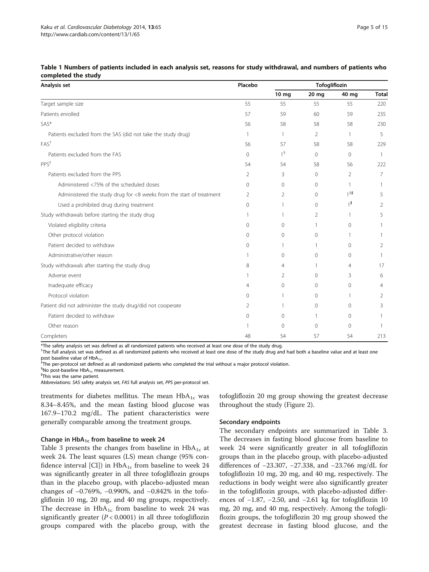| Analysis set                                                         | Placebo  | Tofogliflozin          |                        |                 |                     |
|----------------------------------------------------------------------|----------|------------------------|------------------------|-----------------|---------------------|
|                                                                      |          | 10 <sub>mg</sub><br>55 | 20 <sub>mg</sub><br>55 | 40 mg<br>55     | <b>Total</b><br>220 |
| Target sample size                                                   | 55       |                        |                        |                 |                     |
| Patients enrolled                                                    | 57       | 59                     | 60                     | 59              | 235                 |
| SAS*                                                                 | 56       | 58                     | 58                     | 58              | 230                 |
| Patients excluded from the SAS (did not take the study drug)         | -1       | 1                      | 2                      | 1               | 5                   |
| $FAS+$                                                               | 56       | 57                     | 58                     | 58              | 229                 |
| Patients excluded from the FAS                                       | $\Omega$ | $1^5$                  | $\Omega$               | $\Omega$        | -1                  |
| $PPS+$                                                               | 54       | 54                     | 58                     | 56              | 222                 |
| Patients excluded from the PPS                                       | 2        | 3                      | $\circ$                | 2               | $\overline{7}$      |
| Administered <75% of the scheduled doses                             | 0        | $\mathbf{0}$           | $\Omega$               | 1               |                     |
| Administered the study drug for <8 weeks from the start of treatment | 2        | $\overline{2}$         | $\Omega$               | $1^{\text{SI}}$ | 5                   |
| Used a prohibited drug during treatment                              | $\Omega$ | 1                      | $\Omega$               | $1^{\parallel}$ | 2                   |
| Study withdrawals before starting the study drug                     | 1        | 1                      | 2                      | 1               | 5                   |
| Violated eligibility criteria                                        | $\Omega$ | $\Omega$               |                        | $\Omega$        |                     |
| Other protocol violation                                             | 0        | $\mathbf{0}$           | $\mathbf{0}$           | 1               |                     |
| Patient decided to withdraw                                          | $\Omega$ |                        |                        | $\Omega$        | 2                   |
| Administrative/other reason                                          | 1        | $\Omega$               | $\Omega$               | $\Omega$        |                     |
| Study withdrawals after starting the study drug                      | 8        | $\overline{4}$         | 1                      | $\overline{4}$  | 17                  |
| Adverse event                                                        | 1        | 2                      | $\Omega$               | 3               | 6                   |
| Inadequate efficacy                                                  | 4        | $\Omega$               | $\Omega$               | $\Omega$        | 4                   |
| Protocol violation                                                   | 0        | 1                      | $\mathbf{0}$           | 1               | 2                   |
| Patient did not administer the study drug/did not cooperate          | 2        | 1.                     | $\Omega$               | $\Omega$        | 3                   |
| Patient decided to withdraw                                          | $\Omega$ | $\Omega$               |                        | $\Omega$        |                     |
| Other reason                                                         |          | 0                      | 0                      | $\Omega$        |                     |
| Completers                                                           | 48       | 54                     | 57                     | 54              | 213                 |

<span id="page-4-0"></span>

| Table 1 Numbers of patients included in each analysis set, reasons for study withdrawal, and numbers of patients who |  |  |  |
|----------------------------------------------------------------------------------------------------------------------|--|--|--|
| completed the study                                                                                                  |  |  |  |

\*The safety analysis set was defined as all randomized patients who received at least one dose of the study drug.

† The full analysis set was defined as all randomized patients who received at least one dose of the study drug and had both a baseline value and at least one post baseline value of  $HbA_{1c}$ .

The per-protocol set defined as all randomized patients who completed the trial without a major protocol violation.

<sup>§</sup>No post-baseline HbA<sub>1c</sub> measurement.<br><sup>In</sup> this was the same patient

This was the same patient.

Abbreviations: SAS safety analysis set, FAS full analysis set, PPS per-protocol set.

treatments for diabetes mellitus. The mean  $HbA_{1c}$  was 8.34–8.45%, and the mean fasting blood glucose was 167.9–170.2 mg/dL. The patient characteristics were generally comparable among the treatment groups.

#### Change in  $HbA_{1c}$  from baseline to week 24

Table [3](#page-6-0) presents the changes from baseline in  $HbA_{1c}$  at week 24. The least squares (LS) mean change (95% confidence interval [CI]) in  $HbA_{1c}$  from baseline to week 24 was significantly greater in all three tofogliflozin groups than in the placebo group, with placebo-adjusted mean changes of −0.769%, −0.990%, and −0.842% in the tofogliflozin 10 mg, 20 mg, and 40 mg groups, respectively. The decrease in  $HbA_{1c}$  from baseline to week 24 was significantly greater  $(P < 0.0001)$  in all three tofogliflozin groups compared with the placebo group, with the tofogliflozin 20 mg group showing the greatest decrease throughout the study (Figure [2](#page-7-0)).

#### Secondary endpoints

The secondary endpoints are summarized in Table [3](#page-6-0). The decreases in fasting blood glucose from baseline to week 24 were significantly greater in all tofogliflozin groups than in the placebo group, with placebo-adjusted differences of −23.307, −27.338, and −23.766 mg/dL for tofogliflozin 10 mg, 20 mg, and 40 mg, respectively. The reductions in body weight were also significantly greater in the tofogliflozin groups, with placebo-adjusted differences of −1.87, −2.50, and −2.61 kg for tofogliflozin 10 mg, 20 mg, and 40 mg, respectively. Among the tofogliflozin groups, the tofogliflozin 20 mg group showed the greatest decrease in fasting blood glucose, and the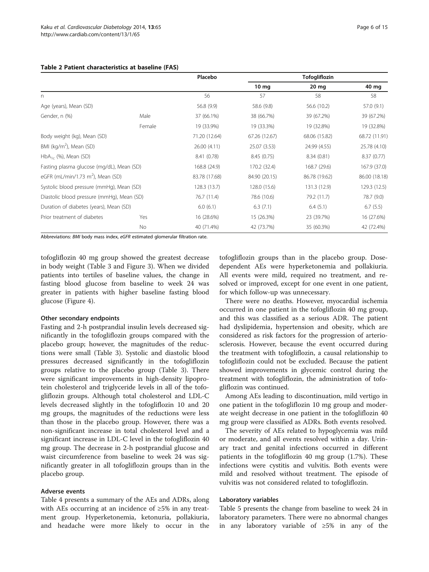#### <span id="page-5-0"></span>Table 2 Patient characteristics at baseline (FAS)

|                                               |        | Placebo       | Tofogliflozin    |               |               |  |
|-----------------------------------------------|--------|---------------|------------------|---------------|---------------|--|
|                                               |        |               | 10 <sub>mg</sub> | 20 mg         | 40 mg         |  |
| n                                             |        | 56            | 57               | 58            | 58            |  |
| Age (years), Mean (SD)                        |        | 56.8 (9.9)    | 58.6 (9.8)       | 56.6 (10.2)   | 57.0 (9.1)    |  |
| Gender, n (%)                                 | Male   | 37 (66.1%)    | 38 (66.7%)       | 39 (67.2%)    | 39 (67.2%)    |  |
|                                               | Female | 19 (33.9%)    | 19 (33.3%)       | 19 (32.8%)    | 19 (32.8%)    |  |
| Body weight (kg), Mean (SD)                   |        | 71.20 (12.64) | 67.26 (12.67)    | 68.06 (15.82) | 68.72 (11.91) |  |
| BMI (kg/m <sup>2</sup> ), Mean (SD)           |        | 26.00 (4.11)  | 25.07 (3.53)     | 24.99 (4.55)  | 25.78 (4.10)  |  |
| $HbA_{1c}$ (%), Mean (SD)                     |        | 8.41 (0.78)   | 8.45(0.75)       | 8.34(0.81)    | 8.37(0.77)    |  |
| Fasting plasma glucose (mg/dL), Mean (SD)     |        | 168.8 (24.9)  | 170.2 (32.4)     | 168.7 (29.6)  | 167.9 (37.0)  |  |
| eGFR (mL/min/1.73 m <sup>2</sup> ), Mean (SD) |        | 83.78 (17.68) | 84.90 (20.15)    | 86.78 (19.62) | 86.00 (18.18) |  |
| Systolic blood pressure (mmHg), Mean (SD)     |        | 128.3(13.7)   | 128.0 (15.6)     | 131.3 (12.9)  | 129.3 (12.5)  |  |
| Diastolic blood pressure (mmHg), Mean (SD)    |        | 76.7 (11.4)   | 78.6 (10.6)      | 79.2 (11.7)   | 78.7 (9.0)    |  |
| Duration of diabetes (years), Mean (SD)       |        | 6.0(6.1)      | 6.3(7.1)         | 6.4(5.1)      | 6.7(5.5)      |  |
| Prior treatment of diabetes                   | Yes    | 16 (28.6%)    | 15 (26.3%)       | 23 (39.7%)    | 16 (27.6%)    |  |
|                                               | No     | 40 (71.4%)    | 42 (73.7%)       | 35 (60.3%)    | 42 (72.4%)    |  |

Abbreviations: BMI body mass index, eGFR estimated glomerular filtration rate.

tofogliflozin 40 mg group showed the greatest decrease in body weight (Table [3](#page-6-0) and Figure [3\)](#page-8-0). When we divided patients into tertiles of baseline values, the change in fasting blood glucose from baseline to week 24 was greater in patients with higher baseline fasting blood glucose (Figure [4\)](#page-8-0).

#### Other secondary endpoints

Fasting and 2-h postprandial insulin levels decreased significantly in the tofogliflozin groups compared with the placebo group; however, the magnitudes of the reductions were small (Table [3](#page-6-0)). Systolic and diastolic blood pressures decreased significantly in the tofogliflozin groups relative to the placebo group (Table [3\)](#page-6-0). There were significant improvements in high-density lipoprotein cholesterol and triglyceride levels in all of the tofogliflozin groups. Although total cholesterol and LDL-C levels decreased slightly in the tofogliflozin 10 and 20 mg groups, the magnitudes of the reductions were less than those in the placebo group. However, there was a non-significant increase in total cholesterol level and a significant increase in LDL-C level in the tofogliflozin 40 mg group. The decrease in 2-h postprandial glucose and waist circumference from baseline to week 24 was significantly greater in all tofogliflozin groups than in the placebo group.

#### Adverse events

Table [4](#page-9-0) presents a summary of the AEs and ADRs, along with AEs occurring at an incidence of ≥5% in any treatment group. Hyperketonemia, ketonuria, pollakiuria, and headache were more likely to occur in the tofogliflozin groups than in the placebo group. Dosedependent AEs were hyperketonemia and pollakiuria. All events were mild, required no treatment, and resolved or improved, except for one event in one patient, for which follow-up was unnecessary.

There were no deaths. However, myocardial ischemia occurred in one patient in the tofogliflozin 40 mg group, and this was classified as a serious ADR. The patient had dyslipidemia, hypertension and obesity, which are considered as risk factors for the progression of arteriosclerosis. However, because the event occurred during the treatment with tofogliflozin, a causal relationship to tofogliflozin could not be excluded. Because the patient showed improvements in glycemic control during the treatment with tofogliflozin, the administration of tofogliflozin was continued.

Among AEs leading to discontinuation, mild vertigo in one patient in the tofogliflozin 10 mg group and moderate weight decrease in one patient in the tofogliflozin 40 mg group were classified as ADRs. Both events resolved.

The severity of AEs related to hypoglycemia was mild or moderate, and all events resolved within a day. Urinary tract and genital infections occurred in different patients in the tofogliflozin 40 mg group (1.7%). These infections were cystitis and vulvitis. Both events were mild and resolved without treatment. The episode of vulvitis was not considered related to tofogliflozin.

#### Laboratory variables

Table [5](#page-10-0) presents the change from baseline to week 24 in laboratory parameters. There were no abnormal changes in any laboratory variable of ≥5% in any of the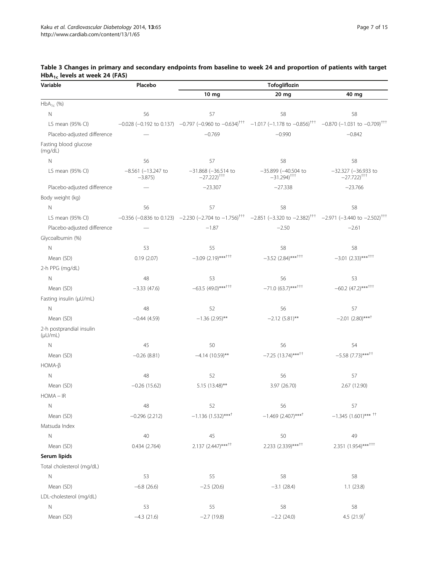| Variable                                 | Placebo                             | Tofogliflozin                                     |                                                                                                                                                       |                                                     |  |  |  |
|------------------------------------------|-------------------------------------|---------------------------------------------------|-------------------------------------------------------------------------------------------------------------------------------------------------------|-----------------------------------------------------|--|--|--|
|                                          |                                     | 10 <sub>mg</sub>                                  | 20 mg                                                                                                                                                 | 40 mg                                               |  |  |  |
| $HbA_{1c}$ (%)                           |                                     |                                                   |                                                                                                                                                       |                                                     |  |  |  |
| N.                                       | 56                                  | 57                                                | 58                                                                                                                                                    | 58                                                  |  |  |  |
| LS mean $(95\%$ CI)                      |                                     |                                                   | $-0.028$ (-0.192 to 0.137) -0.797 (-0.960 to -0.634) <sup>†††</sup> -1.017 (-1.178 to -0.856) <sup>†††</sup> -0.870 (-1.031 to -0.709) <sup>†††</sup> |                                                     |  |  |  |
| Placebo-adjusted difference              |                                     | $-0.769$                                          | $-0.990$                                                                                                                                              | $-0.842$                                            |  |  |  |
| Fasting blood glucose<br>(mq/dL)         |                                     |                                                   |                                                                                                                                                       |                                                     |  |  |  |
| N                                        | 56                                  | 57                                                | 58                                                                                                                                                    | 58                                                  |  |  |  |
| LS mean (95% CI)                         | $-8.561$ ( $-13.247$ to<br>$-3.875$ | $-31.868 (-36.514$ to<br>$-27.222$ <sup>+++</sup> | $-35.899$ ( $-40.504$ to<br>$-31.294$ <sup>+++</sup>                                                                                                  | $-32.327$ $(-36.933$ to<br>$-27.722$ <sup>†††</sup> |  |  |  |
| Placebo-adjusted difference              |                                     | $-23.307$                                         | $-27.338$                                                                                                                                             | $-23.766$                                           |  |  |  |
| Body weight (kg)                         |                                     |                                                   |                                                                                                                                                       |                                                     |  |  |  |
| Ν                                        | 56                                  | 57                                                | 58                                                                                                                                                    | 58                                                  |  |  |  |
| LS mean $(95\%$ CI)                      |                                     |                                                   | $-0.356$ (-0.836 to 0.123) -2.230 (-2.704 to -1.756) <sup>†††</sup> -2.851 (-3.320 to -2.382) <sup>†††</sup> -2.971 (-3.440 to -2.502) <sup>†††</sup> |                                                     |  |  |  |
| Placebo-adjusted difference              |                                     | $-1.87$                                           | $-2.50$                                                                                                                                               | $-2.61$                                             |  |  |  |
| Glycoalbumin (%)                         |                                     |                                                   |                                                                                                                                                       |                                                     |  |  |  |
| N                                        | 53                                  | 55                                                | 58                                                                                                                                                    | 58                                                  |  |  |  |
| Mean (SD)                                | 0.19(2.07)                          | $-3.09$ (2.19)*** <sup>†††</sup>                  | $-3.52$ (2.84)*** <sup>†††</sup>                                                                                                                      | $-3.01$ (2.33)*** <sup>†††</sup>                    |  |  |  |
| 2-h PPG (mg/dL)                          |                                     |                                                   |                                                                                                                                                       |                                                     |  |  |  |
| N                                        | 48                                  | 53                                                | 56                                                                                                                                                    | 53                                                  |  |  |  |
| Mean (SD)                                | $-3.33(47.6)$                       | $-63.5$ (49.0)*** <sup>†††</sup>                  | $-71.0$ (63.7)*** <sup>†††</sup>                                                                                                                      | $-60.2$ (47.2)*** <sup>†††</sup>                    |  |  |  |
| Fasting insulin (µU/mL)                  |                                     |                                                   |                                                                                                                                                       |                                                     |  |  |  |
| N                                        | 48                                  | 52                                                | 56                                                                                                                                                    | 57                                                  |  |  |  |
| Mean (SD)                                | $-0.44(4.59)$                       | $-1.36$ (2.95)**                                  | $-2.12(5.81)$ **                                                                                                                                      | $-2.01$ (2.80)*** <sup>†</sup>                      |  |  |  |
| 2-h postprandial insulin<br>$(\mu U/mL)$ |                                     |                                                   |                                                                                                                                                       |                                                     |  |  |  |
| N                                        | 45                                  | 50                                                | 56                                                                                                                                                    | 54                                                  |  |  |  |
| Mean (SD)                                | $-0.26(8.81)$                       | $-4.14$ (10.59)**                                 | $-7.25$ (13.74)*** <sup>††</sup>                                                                                                                      | $-5.58$ (7.73)*** <sup>††</sup>                     |  |  |  |
| $HOMA-B$                                 |                                     |                                                   |                                                                                                                                                       |                                                     |  |  |  |
| $\mathsf{N}$                             | 48                                  | 52                                                | 56                                                                                                                                                    | 57                                                  |  |  |  |
| Mean (SD)                                | $-0.26(15.62)$                      | 5.15 (13.48)**                                    | 3.97 (26.70)                                                                                                                                          | 2.67 (12.90)                                        |  |  |  |
| $HOMA - IR$                              |                                     |                                                   |                                                                                                                                                       |                                                     |  |  |  |
| $\mathsf{N}$                             | 48                                  | 52                                                | 56                                                                                                                                                    | 57                                                  |  |  |  |
| Mean (SD)                                | $-0.296(2.212)$                     | $-1.136(1.532)$ *** <sup>†</sup>                  | $-1.469$ (2.407)*** <sup>†</sup>                                                                                                                      | $-1.345(1.601)$ *** <sup>11</sup>                   |  |  |  |
| Matsuda Index                            |                                     |                                                   |                                                                                                                                                       |                                                     |  |  |  |
| Ν                                        | 40                                  | 45                                                | 50                                                                                                                                                    | 49                                                  |  |  |  |
| Mean (SD)                                | 0.434(2.764)                        |                                                   | 2.233 (2.339)*** <sup>††</sup>                                                                                                                        | 2.351 (1.954)*** <sup>†††</sup>                     |  |  |  |
| Serum lipids                             |                                     |                                                   |                                                                                                                                                       |                                                     |  |  |  |
| Total cholesterol (mg/dL)                |                                     |                                                   |                                                                                                                                                       |                                                     |  |  |  |
| Ν                                        | 53                                  | 55                                                | 58                                                                                                                                                    | 58                                                  |  |  |  |
| Mean (SD)                                | $-6.8$ (26.6)                       | $-2.5(20.6)$                                      | $-3.1$ (28.4)                                                                                                                                         | 1.1(23.8)                                           |  |  |  |
| LDL-cholesterol (mg/dL)                  |                                     |                                                   |                                                                                                                                                       |                                                     |  |  |  |
| Ν                                        | 53                                  | 55                                                | 58                                                                                                                                                    | 58                                                  |  |  |  |
| Mean (SD)                                | $-4.3(21.6)$                        | $-2.7(19.8)$                                      | $-2.2$ (24.0)                                                                                                                                         | 4.5 $(21.9)^{+}$                                    |  |  |  |
|                                          |                                     |                                                   |                                                                                                                                                       |                                                     |  |  |  |

# <span id="page-6-0"></span>Table 3 Changes in primary and secondary endpoints from baseline to week 24 and proportion of patients with target  $HbA_{1c}$  levels at week 24 (FAS)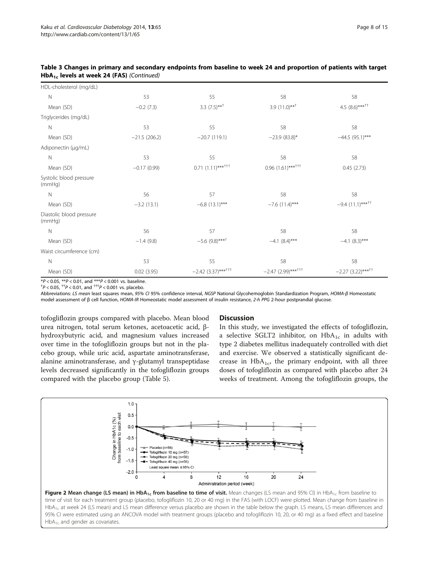| HDL-cholesterol (mg/dL)            |                |                                  |                                  |                                 |
|------------------------------------|----------------|----------------------------------|----------------------------------|---------------------------------|
| $\mathbb N$                        | 53             | 55                               | 58                               | 58                              |
| Mean (SD)                          | $-0.2(7.3)$    | 3.3 $(7.5)$ ** <sup>†</sup>      | $3.9(11.0)$ ** <sup>†</sup>      | 4.5 $(8.6)$ *** <sup>††</sup>   |
| Triglycerides (mg/dL)              |                |                                  |                                  |                                 |
| $\mathbb N$                        | 53             | 55                               | 58                               | 58                              |
| Mean (SD)                          | $-21.5(206.2)$ | $-20.7(119.1)$                   | $-23.9(83.8)$ *                  | $-44.5(95.1)$ ***               |
| Adiponectin (µg/mL)                |                |                                  |                                  |                                 |
| $\mathbb N$                        | 53             | 55                               | 58                               | 58                              |
| Mean (SD)                          | $-0.17(0.99)$  | $0.71(1.11)$ *** <sup>†††</sup>  | $0.96(1.61)$ *** <sup>†††</sup>  | 0.45(2.73)                      |
| Systolic blood pressure<br>(mmHq)  |                |                                  |                                  |                                 |
| $\mathsf{N}$                       | 56             | 57                               | 58                               | 58                              |
| Mean (SD)                          | $-3.2(13.1)$   | $-6.8(13.1)$ ***                 | $-7.6$ (11.4)***                 | $-9.4(11.1)***^{\dagger+}$      |
| Diastolic blood pressure<br>(mmHq) |                |                                  |                                  |                                 |
| $\mathbb N$                        | 56             | 57                               | 58                               | 58                              |
| Mean (SD)                          | $-1.4(9.8)$    | $-5.6(9.8)$ *** <sup>†</sup>     | $-4.1$ (8.4)***                  | $-4.1 (8.3)$ ***                |
| Waist circumference (cm)           |                |                                  |                                  |                                 |
| $\mathbb N$                        | 53             | 55                               | 58                               | 58                              |
| Mean (SD)                          | 0.02(3.95)     | $-2.42$ (3.37)*** <sup>†††</sup> | $-2.47$ (2.99)*** <sup>†††</sup> | $-2.27$ (3.22)*** <sup>††</sup> |

## <span id="page-7-0"></span>Table 3 Changes in primary and secondary endpoints from baseline to week 24 and proportion of patients with target HbA<sub>1c</sub> levels at week 24 (FAS) (Continued)

 $*P < 0.05$ ,  $*P < 0.01$ , and  $*P < 0.001$  vs. baseline.

 $^{+}P$  < 0.05,  $^{++}P$  < 0.01, and  $^{+++}P$  < 0.001 vs. placebo.

Abbreviations: LS mean least squares mean, 95% CI 95% confidence interval, NGSP National Glycohemoglobin Standardization Program, HOMA-β Homeostatic model assessment of β cell function, HOMA-IR Homeostatic model assessment of insulin resistance, 2-h PPG 2-hour postprandial glucose.

tofogliflozin groups compared with placebo. Mean blood urea nitrogen, total serum ketones, acetoacetic acid, βhydroxybutyric acid, and magnesium values increased over time in the tofogliflozin groups but not in the placebo group, while uric acid, aspartate aminotransferase, alanine aminotransferase, and γ-glutamyl transpeptidase levels decreased significantly in the tofogliflozin groups compared with the placebo group (Table [5](#page-10-0)).

# **Discussion**

In this study, we investigated the effects of tofogliflozin, a selective SGLT2 inhibitor, on  $HbA_{1c}$  in adults with type 2 diabetes mellitus inadequately controlled with diet and exercise. We observed a statistically significant decrease in  $HbA_{1c}$ , the primary endpoint, with all three doses of tofogliflozin as compared with placebo after 24 weeks of treatment. Among the tofogliflozin groups, the



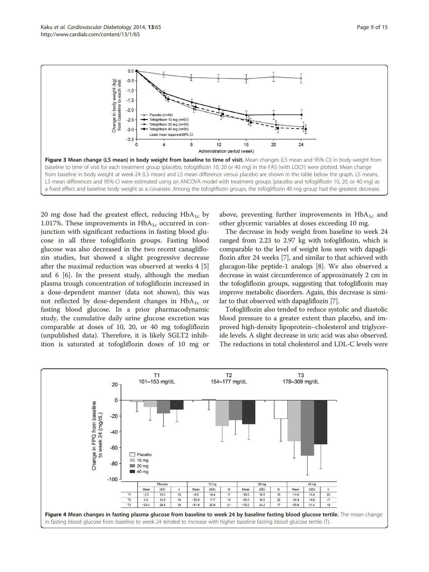<span id="page-8-0"></span>

20 mg dose had the greatest effect, reducing  $HbA_{1c}$  by 1.017%. These improvements in  $HbA_{1c}$  occurred in conjunction with significant reductions in fasting blood glucose in all three tofogliflozin groups. Fasting blood glucose was also decreased in the two recent canagliflozin studies, but showed a slight progressive decrease after the maximal reduction was observed at weeks 4 [\[5](#page-14-0)] and 6 [[6\]](#page-14-0). In the present study, although the median plasma trough concentration of tofogliflozin increased in a dose-dependent manner (data not shown), this was not reflected by dose-dependent changes in  $HbA_{1c}$  or fasting blood glucose. In a prior pharmacodynamic study, the cumulative daily urine glucose excretion was comparable at doses of 10, 20, or 40 mg tofogliflozin (unpublished data). Therefore, it is likely SGLT2 inhibition is saturated at tofogliflozin doses of 10 mg or above, preventing further improvements in  $HbA_{1c}$  and other glycemic variables at doses exceeding 10 mg.

The decrease in body weight from baseline to week 24 ranged from 2.23 to 2.97 kg with tofogliflozin, which is comparable to the level of weight loss seen with dapagliflozin after 24 weeks [\[7](#page-14-0)], and similar to that achieved with glucagon-like peptide-1 analogs [[8](#page-14-0)]. We also observed a decrease in waist circumference of approximately 2 cm in the tofogliflozin groups, suggesting that tofogliflozin may improve metabolic disorders. Again, this decrease is similar to that observed with dapagliflozin [\[7](#page-14-0)].

Tofogliflozin also tended to reduce systolic and diastolic blood pressure to a greater extent than placebo, and improved high-density lipoprotein–cholesterol and triglyceride levels. A slight decrease in uric acid was also observed. The reductions in total cholesterol and LDL-C levels were

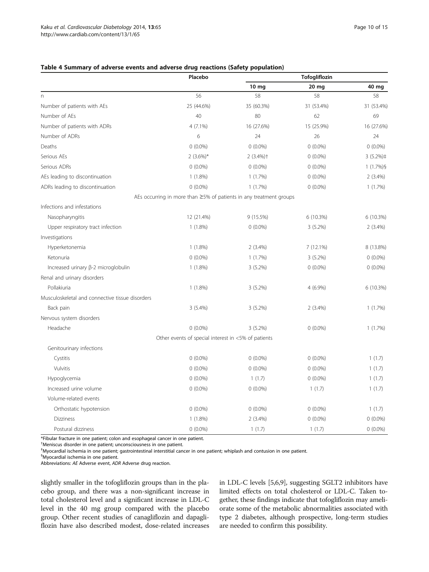#### <span id="page-9-0"></span>Table 4 Summary of adverse events and adverse drug reactions (Safety population)

|                                                 | Placebo                                                                  |                  | Tofogliflozin |                   |  |
|-------------------------------------------------|--------------------------------------------------------------------------|------------------|---------------|-------------------|--|
|                                                 |                                                                          | 10 <sub>mg</sub> | 20 mg         | 40 mg             |  |
| $\Gamma$                                        | 56                                                                       | 58               | 58            | 58                |  |
| Number of patients with AEs                     | 25 (44.6%)                                                               | 35 (60.3%)       | 31 (53.4%)    | 31 (53.4%)        |  |
| Number of AEs                                   | 40                                                                       | 80               | 62            | 69                |  |
| Number of patients with ADRs                    | $4(7.1\%)$                                                               | 16 (27.6%)       | 15 (25.9%)    | 16 (27.6%)        |  |
| Number of ADRs                                  | 6                                                                        | 24               | 26            | 24                |  |
| Deaths                                          | $0(0.0\%)$                                                               | $0(0.0\%)$       | $0(0.0\%)$    | $0(0.0\%)$        |  |
| Serious AEs                                     | $2(3.6\%)*$                                                              | $2(3.4\%)$ †     | $0(0.0\%)$    | $3(5.2%)\ddagger$ |  |
| Serious ADRs                                    | $0(0.0\%)$                                                               | $0(0.0\%)$       | $0(0.0\%)$    | $1(1.7%)$ §       |  |
| AEs leading to discontinuation                  | $1(1.8\%)$                                                               | 1(1.7%)          | $0(0.0\%)$    | $2(3.4\%)$        |  |
| ADRs leading to discontinuation                 | $0(0.0\%)$                                                               | 1(1.7%)          | $0(0.0\%)$    | 1(1.7%)           |  |
|                                                 | AEs occurring in more than $\geq$ 5% of patients in any treatment groups |                  |               |                   |  |
| Infections and infestations                     |                                                                          |                  |               |                   |  |
| Nasopharyngitis                                 | 12 (21.4%)                                                               | 9 (15.5%)        | 6(10.3%)      | 6(10.3%)          |  |
| Upper respiratory tract infection               | $1(1.8\%)$                                                               | $0(0.0\%)$       | $3(5.2\%)$    | $2(3.4\%)$        |  |
| Investigations                                  |                                                                          |                  |               |                   |  |
| Hyperketonemia                                  | $1(1.8\%)$                                                               | $2(3.4\%)$       | 7(12.1%)      | 8 (13.8%)         |  |
| Ketonuria                                       | $0(0.0\%)$                                                               | 1(1.7%)          | $3(5.2\%)$    | $0(0.0\%)$        |  |
| Increased urinary β-2 microglobulin             | $1(1.8\%)$                                                               | $3(5.2\%)$       | $0(0.0\%)$    | $0(0.0\%)$        |  |
| Renal and urinary disorders                     |                                                                          |                  |               |                   |  |
| Pollakiuria                                     | $1(1.8\%)$                                                               | $3(5.2\%)$       | $4(6.9\%)$    | 6 (10.3%)         |  |
| Musculoskeletal and connective tissue disorders |                                                                          |                  |               |                   |  |
| Back pain                                       | $3(5.4\%)$                                                               | $3(5.2\%)$       | $2(3.4\%)$    | 1(1.7%)           |  |
| Nervous system disorders                        |                                                                          |                  |               |                   |  |
| Headache                                        | $0(0.0\%)$                                                               | 3 (5.2%)         | $0(0.0\%)$    | 1(1.7%)           |  |
|                                                 | Other events of special interest in <5% of patients                      |                  |               |                   |  |
| Genitourinary infections                        |                                                                          |                  |               |                   |  |
| Cystitis                                        | $0(0.0\%)$                                                               | $0(0.0\%)$       | $0(0.0\%)$    | 1(1.7)            |  |
| Vulvitis                                        | $0(0.0\%)$                                                               | $0(0.0\%)$       | $0(0.0\%)$    | 1(1.7)            |  |
| Hypoglycemia                                    | $0(0.0\%)$                                                               | 1(1.7)           | $0(0.0\%)$    | 1(1.7)            |  |
| Increased urine volume                          | $0(0.0\%)$                                                               | $0(0.0\%)$       | 1(1.7)        | 1(1.7)            |  |
| Volume-related events                           |                                                                          |                  |               |                   |  |
| Orthostatic hypotension                         | $0(0.0\%)$                                                               | $0(0.0\%)$       | $0(0.0\%)$    | 1(1.7)            |  |
| <b>Dizziness</b>                                | $1(1.8\%)$                                                               | 2(3.4%)          | $0(0.0\%)$    | $0(0.0\%)$        |  |
| Postural dizziness                              | $0(0.0\%)$                                                               | 1(1.7)           | 1(1.7)        | $0(0.0\%)$        |  |

\*Fibular fracture in one patient; colon and esophageal cancer in one patient.

† Meniscus disorder in one patient; unconsciousness in one patient.

‡ Myocardial ischemia in one patient; gastrointestinal interstitial cancer in one patient; whiplash and contusion in one patient.

§ Myocardial ischemia in one patient.

Abbreviations: AE Adverse event, ADR Adverse drug reaction.

slightly smaller in the tofogliflozin groups than in the placebo group, and there was a non-significant increase in total cholesterol level and a significant increase in LDL-C level in the 40 mg group compared with the placebo group. Other recent studies of canagliflozin and dapagliflozin have also described modest, dose-related increases in LDL-C levels [\[5,6,9](#page-14-0)], suggesting SGLT2 inhibitors have limited effects on total cholesterol or LDL-C. Taken together, these findings indicate that tofogliflozin may ameliorate some of the metabolic abnormalities associated with type 2 diabetes, although prospective, long-term studies are needed to confirm this possibility.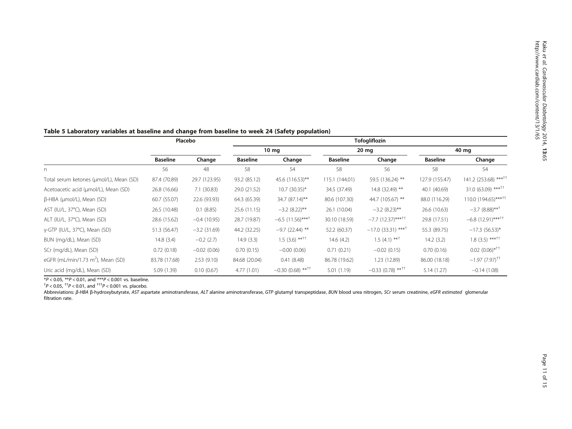|                                               |                 | Placebo        | Tofogliflozin    |                                |                 |                                  |                 |                                  |  |
|-----------------------------------------------|-----------------|----------------|------------------|--------------------------------|-----------------|----------------------------------|-----------------|----------------------------------|--|
|                                               |                 |                | 10 <sub>mg</sub> |                                |                 | $20 \text{ mg}$                  |                 | 40 mg                            |  |
|                                               | <b>Baseline</b> | Change         | <b>Baseline</b>  | Change                         | <b>Baseline</b> | Change                           | <b>Baseline</b> | Change                           |  |
| n                                             | 56              | 48             | 58               | 54                             | 58              | 56                               | 58              | 54                               |  |
| Total serum ketones (µmol/L), Mean (SD)       | 87.4 (70.89)    | 29.7 (123.95)  | 93.2 (85.12)     | 45.6 (116.53)**                | 115.1 (144.01)  | 59.5 (136.24) **                 | 127.9 (155.47)  | 141.2 (253.68) *** <sup>††</sup> |  |
| Acetoacetic acid (µmol/L), Mean (SD)          | 26.8 (16.66)    | 7.1(30.83)     | 29.0 (21.52)     | $10.7 (30.35)^*$               | 34.5 (37.49)    | 14.8 (32.49) **                  | 40.1 (40.69)    | $31.0(63.09)$ *** <sup>††</sup>  |  |
| $\beta$ -HBA (µmol/L), Mean (SD)              | 60.7 (55.07)    | 22.6 (93.93)   | 64.3 (65.39)     | 34.7 (87.14)**                 | 80.6 (107.30)   | 44.7 (105.67) **                 | 88.0 (116.29)   | $110.0(194.65)***$ <sup>++</sup> |  |
| AST (IU/L, 37°C), Mean (SD)                   | 26.5 (10.48)    | $0.1$ $(8.85)$ | 25.6(11.15)      | $-3.2$ (8.22)**                | 26.1 (10.04)    | $-3.2$ (8.23)**                  | 26.6 (10.63)    | $-3.7$ (8.88)** <sup>†</sup>     |  |
| ALT (IU/L, 37°C), Mean (SD)                   | 28.6 (15.62)    | $-0.4(10.95)$  | 28.7 (19.87)     | $-6.5(11.56)$ *** <sup>†</sup> | 30.10 (18.59)   | $-7.7$ (12.37)*** <sup>††</sup>  | 29.8 (17.51)    | $-6.8$ (12.91)*** <sup>††</sup>  |  |
| y-GTP (IU/L, 37°C), Mean (SD)                 | 51.3 (56.47)    | $-3.2$ (31.69) | 44.2 (32.25)     | $-9.7(22.44)$ **               | 52.2 (60.37)    | $-17.0$ (33.31) *** <sup>†</sup> | 55.3 (89.75)    | $-17.3(56.53)^{*}$               |  |
| BUN (mg/dL), Mean (SD)                        | 14.8(3.4)       | $-0.2$ (2.7)   | 14.9(3.3)        | $1.5$ (3.6) ** <sup>††</sup>   | 14.6(4.2)       | $1.5(4.1)$ ** <sup>†</sup>       | 14.2(3.2)       | $1.8$ (3.5) *** <sup>††</sup>    |  |
| SCr (mg/dL), Mean (SD)                        | 0.72(0.18)      | $-0.02(0.06)$  | 0.70(0.15)       | $-0.00$ (0.06)                 | 0.71(0.21)      | $-0.02(0.15)$                    | 0.70(0.16)      | $0.02$ $(0.06)$ <sup>*††</sup>   |  |
| eGFR (mL/min/1.73 m <sup>2</sup> ), Mean (SD) | 83.78 (17.68)   | 2.53(9.10)     | 84.68 (20.04)    | 0.41(8.48)                     | 86.78 (19.62)   | 1.23 (12.89)                     | 86.00 (18.18)   | $-1.97(7.97)^{11}$               |  |
| Uric acid (mg/dL), Mean (SD)                  | 5.09(1.39)      | 0.10(0.67)     | 4.77(1.01)       | $-0.30(0.68)$ ** <sup>††</sup> | 5.01(1.19)      | $-0.33$ (0.78) ** <sup>††</sup>  | 5.14(1.27)      | $-0.14(1.08)$                    |  |

# <span id="page-10-0"></span>Table 5 Laboratory variables at baseline and change from baseline to week 24 (Safety population)

\*P < 0.05, \*\*P < 0.01, and \*\*\*P < 0.001 vs. baseline.<br><sup>†</sup>P < 0.05, <sup>††</sup>P < 0.01, and <sup>†††</sup>P < 0.001 vs. placebo.

Abbreviations: β-HBA β-hydroxybutyrate, AST aspartate aminotransferase, ALT alanine aminotransferase, GTP glutamyl transpeptidase, BUN blood urea nitrogen, SCr serum creatinine, eGFR estimated glomerular filtration rate.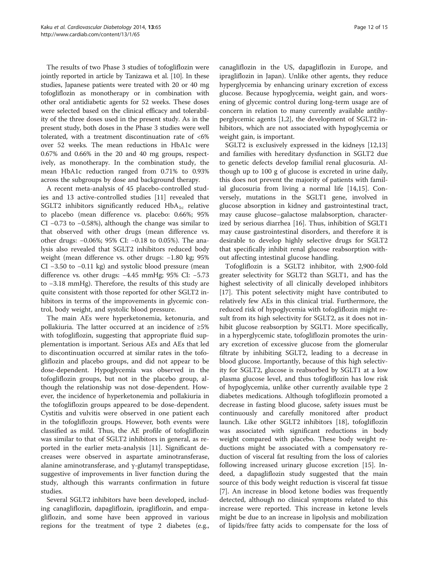The results of two Phase 3 studies of tofogliflozin were jointly reported in article by Tanizawa et al. [\[10\]](#page-14-0). In these studies, Japanese patients were treated with 20 or 40 mg tofogliflozin as monotherapy or in combination with other oral antidiabetic agents for 52 weeks. These doses were selected based on the clinical efficacy and tolerability of the three doses used in the present study. As in the present study, both doses in the Phase 3 studies were well tolerated, with a treatment discontinuation rate of <6% over 52 weeks. The mean reductions in HbA1c were 0.67% and 0.66% in the 20 and 40 mg groups, respectively, as monotherapy. In the combination study, the mean HbA1c reduction ranged from 0.71% to 0.93% across the subgroups by dose and background therapy.

A recent meta-analysis of 45 placebo-controlled studies and 13 active-controlled studies [[11\]](#page-14-0) revealed that SGLT2 inhibitors significantly reduced  $HbA_{1c}$  relative to placebo (mean difference vs. placebo: 0.66%; 95% CI −0.73 to −0.58%), although the change was similar to that observed with other drugs (mean difference vs. other drugs: −0.06%; 95% CI: −0.18 to 0.05%). The analysis also revealed that SGLT2 inhibitors reduced body weight (mean difference vs. other drugs: -1.80 kg; 95% CI −3.50 to −0.11 kg) and systolic blood pressure (mean difference vs. other drugs: −4.45 mmHg; 95% CI: −5.73 to −3.18 mmHg). Therefore, the results of this study are quite consistent with those reported for other SGLT2 inhibitors in terms of the improvements in glycemic control, body weight, and systolic blood pressure.

The main AEs were hyperketonemia, ketonuria, and pollakiuria. The latter occurred at an incidence of ≥5% with tofogliflozin, suggesting that appropriate fluid supplementation is important. Serious AEs and AEs that led to discontinuation occurred at similar rates in the tofogliflozin and placebo groups, and did not appear to be dose-dependent. Hypoglycemia was observed in the tofogliflozin groups, but not in the placebo group, although the relationship was not dose-dependent. However, the incidence of hyperketonemia and pollakiuria in the tofogliflozin groups appeared to be dose-dependent. Cystitis and vulvitis were observed in one patient each in the tofogliflozin groups. However, both events were classified as mild. Thus, the AE profile of tofogliflozin was similar to that of SGLT2 inhibitors in general, as reported in the earlier meta-analysis [\[11](#page-14-0)]. Significant decreases were observed in aspartate aminotransferase, alanine aminotransferase, and γ-glutamyl transpeptidase, suggestive of improvements in liver function during the study, although this warrants confirmation in future studies.

Several SGLT2 inhibitors have been developed, including canagliflozin, dapagliflozin, ipragliflozin, and empagliflozin, and some have been approved in various regions for the treatment of type 2 diabetes (e.g.,

canagliflozin in the US, dapagliflozin in Europe, and ipragliflozin in Japan). Unlike other agents, they reduce hyperglycemia by enhancing urinary excretion of excess glucose. Because hypoglycemia, weight gain, and worsening of glycemic control during long-term usage are of concern in relation to many currently available antihyperglycemic agents [[1,2\]](#page-14-0), the development of SGLT2 inhibitors, which are not associated with hypoglycemia or weight gain, is important.

SGLT2 is exclusively expressed in the kidneys [[12](#page-14-0),[13](#page-14-0)] and families with hereditary dysfunction in SGLT2 due to genetic defects develop familial renal glucosuria. Although up to 100 g of glucose is excreted in urine daily, this does not prevent the majority of patients with familial glucosuria from living a normal life [\[14,15](#page-14-0)]. Conversely, mutations in the SGLT1 gene, involved in glucose absorption in kidney and gastrointestinal tract, may cause glucose–galactose malabsorption, characterized by serious diarrhea [\[16\]](#page-14-0). Thus, inhibition of SGLT1 may cause gastrointestinal disorders, and therefore it is desirable to develop highly selective drugs for SGLT2 that specifically inhibit renal glucose reabsorption without affecting intestinal glucose handling.

Tofogliflozin is a SGLT2 inhibitor, with 2,900-fold greater selectivity for SGLT2 than SGLT1, and has the highest selectivity of all clinically developed inhibitors [[17\]](#page-14-0). This potent selectivity might have contributed to relatively few AEs in this clinical trial. Furthermore, the reduced risk of hypoglycemia with tofogliflozin might result from its high selectivity for SGLT2, as it does not inhibit glucose reabsorption by SGLT1. More specifically, in a hyperglycemic state, tofogliflozin promotes the urinary excretion of excessive glucose from the glomerular filtrate by inhibiting SGLT2, leading to a decrease in blood glucose. Importantly, because of this high selectivity for SGLT2, glucose is reabsorbed by SGLT1 at a low plasma glucose level, and thus tofogliflozin has low risk of hypoglycemia, unlike other currently available type 2 diabetes medications. Although tofogliflozin promoted a decrease in fasting blood glucose, safety issues must be continuously and carefully monitored after product launch. Like other SGLT2 inhibitors [[18](#page-14-0)], tofogliflozin was associated with significant reductions in body weight compared with placebo. These body weight reductions might be associated with a compensatory reduction of visceral fat resulting from the loss of calories following increased urinary glucose excretion [\[15](#page-14-0)]. Indeed, a dapagliflozin study suggested that the main source of this body weight reduction is visceral fat tissue [[7\]](#page-14-0). An increase in blood ketone bodies was frequently detected, although no clinical symptoms related to this increase were reported. This increase in ketone levels might be due to an increase in lipolysis and mobilization of lipids/free fatty acids to compensate for the loss of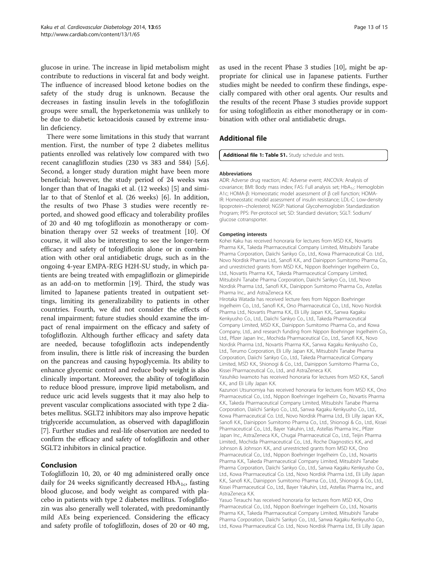<span id="page-12-0"></span>glucose in urine. The increase in lipid metabolism might contribute to reductions in visceral fat and body weight. The influence of increased blood ketone bodies on the safety of the study drug is unknown. Because the decreases in fasting insulin levels in the tofogliflozin groups were small, the hyperketonemia was unlikely to be due to diabetic ketoacidosis caused by extreme insulin deficiency.

There were some limitations in this study that warrant mention. First, the number of type 2 diabetes mellitus patients enrolled was relatively low compared with two recent canagliflozin studies (230 vs 383 and 584) [\[5,6](#page-14-0)]. Second, a longer study duration might have been more beneficial; however, the study period of 24 weeks was longer than that of Inagaki et al. (12 weeks) [[5\]](#page-14-0) and similar to that of Stenlof et al. (26 weeks) [\[6](#page-14-0)]. In addition, the results of two Phase 3 studies were recently reported, and showed good efficacy and tolerability profiles of 20 and 40 mg tofogliflozin as monotherapy or combination therapy over 52 weeks of treatment [[10\]](#page-14-0). Of course, it will also be interesting to see the longer-term efficacy and safety of tofogliflozin alone or in combination with other oral antidiabetic drugs, such as in the ongoing 4-year EMPA-REG H2H-SU study, in which patients are being treated with empagliflozin or glimepiride as an add-on to metformin [[19\]](#page-14-0). Third, the study was limited to Japanese patients treated in outpatient settings, limiting its generalizability to patients in other countries. Fourth, we did not consider the effects of renal impairment; future studies should examine the impact of renal impairment on the efficacy and safety of tofogliflozin. Although further efficacy and safety data are needed, because tofogliflozin acts independently from insulin, there is little risk of increasing the burden on the pancreas and causing hypoglycemia. Its ability to enhance glycemic control and reduce body weight is also clinically important. Moreover, the ability of tofogliflozin to reduce blood pressure, improve lipid metabolism, and reduce uric acid levels suggests that it may also help to prevent vascular complications associated with type 2 diabetes mellitus. SGLT2 inhibitors may also improve hepatic triglyceride accumulation, as observed with dapagliflozin [[7\]](#page-14-0). Further studies and real-life observation are needed to confirm the efficacy and safety of tofogliflozin and other SGLT2 inhibitors in clinical practice.

# Conclusion

Tofogliflozin 10, 20, or 40 mg administered orally once daily for 24 weeks significantly decreased  $HbA_{1c}$ , fasting blood glucose, and body weight as compared with placebo in patients with type 2 diabetes mellitus. Tofogliflozin was also generally well tolerated, with predominantly mild AEs being experienced. Considering the efficacy and safety profile of tofogliflozin, doses of 20 or 40 mg,

as used in the recent Phase 3 studies [\[10](#page-14-0)], might be appropriate for clinical use in Japanese patients. Further studies might be needed to confirm these findings, especially compared with other oral agents. Our results and the results of the recent Phase 3 studies provide support for using tofogliflozin as either monotherapy or in combination with other oral antidiabetic drugs.

# Additional file

#### [Additional file 1: Table S1.](http://www.biomedcentral.com/content/supplementary/1475-2840-13-65-S1.doc) Study schedule and tests.

#### Abbreviations

ADR: Adverse drug reaction; AE: Adverse event; ANCOVA: Analysis of covariance; BMI: Body mass index; FAS: Full analysis set; HbA<sub>1c</sub>: Hemoglobin A1c; HOMA-β: Homeostatic model assessment of β cell function; HOMA-IR: Homeostatic model assessment of insulin resistance; LDL-C: Low-density lipoprotein–cholesterol; NGSP: National Glycohemoglobin Standardization Program; PPS: Per-protocol set; SD: Standard deviation; SGLT: Sodium/ glucose cotransporter.

#### Competing interests

Kohei Kaku has received honoraria for lectures from MSD K.K., Novartis Pharma K.K., Takeda Pharmaceutical Company Limited, Mitsubishi Tanabe Pharma Corporation, Daiichi Sankyo Co., Ltd., Kowa Pharmaceutical Co. Ltd., Novo Nordisk Pharma Ltd., Sanofi K.K., and Dainippon Sumitomo Pharma Co., and unrestricted grants from MSD K.K., Nippon Boehringer Ingelheim Co., Ltd., Novartis Pharma K.K., Takeda Pharmaceutical Company Limited, Mitsubishi Tanabe Pharma Corporation, Daiichi Sankyo Co., Ltd., Novo Nordisk Pharma Ltd., Sanofi K.K., Dainippon Sumitomo Pharma Co., Astellas Pharma Inc., and AstraZeneca K.K.

Hirotaka Watada has received lecture fees from Nippon Boehringer Ingelheim Co., Ltd., Sanofi K.K., Ono Pharmaceutical Co., Ltd., Novo Nordisk Pharma Ltd., Novartis Pharma K.K., Eli Lilly Japan K.K., Sanwa Kagaku Kenkyusho Co., Ltd., Daiichi Sankyo Co., Ltd., Takeda Pharmaceutical Company Limited, MSD K.K., Dainippon Sumitomo Pharma Co., and Kowa Company, Ltd., and research funding from Nippon Boehringer Ingelheim Co., Ltd., Pfizer Japan Inc., Mochida Pharmaceutical Co., Ltd., Sanofi K.K., Novo Nordisk Pharma Ltd., Novartis Pharma K.K., Sanwa Kagaku Kenkyusho Co., Ltd., Terumo Corporation, Eli Lilly Japan K.K., Mitsubishi Tanabe Pharma Corporation, Daiichi Sankyo Co., Ltd., Takeda Pharmaceutical Company Limited, MSD K.K., Shionogi & Co., Ltd., Dainippon Sumitomo Pharma Co., Kissei Pharmaceutical Co., Ltd., and AstraZeneca K.K.

Yasuhiko Iwamoto has received honoraria for lectures from MSD K.K., Sanofi K.K., and Eli Lilly Japan K.K.

Kazunori Utsunomiya has received honoraria for lectures from MSD K.K., Ono Pharmaceutical Co., Ltd., Nippon Boehringer Ingelheim Co., Novartis Pharma K.K., Takeda Pharmaceutical Company Limited, Mitsubishi Tanabe Pharma Corporation, Daiichi Sankyo Co., Ltd., Sanwa Kagaku Kenkyusho Co., Ltd., Kowa Pharmaceutical Co. Ltd., Novo Nordisk Pharma Ltd., Eli Lilly Japan K.K., Sanofi K.K., Dainippon Sumitomo Pharma Co., Ltd., Shionogi & Co., Ltd., Kissei Pharmaceutical Co., Ltd., Bayer Yakuhin, Ltd., Astellas Pharma Inc., Pfizer Japan Inc., AstraZeneca K.K., Chugai Pharmaceutical Co., Ltd., Teijin Pharma Limited., Mochida Pharmaceutical Co., Ltd., Roche Diagnostics K.K., and Johnson & Johnson K.K., and unrestricted grants from MSD K.K., Ono Pharmaceutical Co., Ltd., Nippon Boehringer Ingelheim Co., Ltd., Novartis Pharma K.K., Takeda Pharmaceutical Company Limited, Mitsubishi Tanabe Pharma Corporation, Daiichi Sankyo Co., Ltd., Sanwa Kagaku Kenkyusho Co., Ltd., Kowa Pharmaceutical Co. Ltd., Novo Nordisk Pharma Ltd., Eli Lilly Japan K.K., Sanofi K.K., Dainippon Sumitomo Pharma Co., Ltd., Shionogi & Co., Ltd., Kissei Pharmaceutical Co., Ltd., Bayer Yakuhin, Ltd., Astellas Pharma Inc., and AstraZeneca K.K.

Yasuo Terauchi has received honoraria for lectures from MSD K.K., Ono Pharmaceutical Co., Ltd., Nippon Boehringer Ingelheim Co., Ltd., Novartis Pharma K.K., Takeda Pharmaceutical Company Limited, Mitsubishi Tanabe Pharma Corporation, Daiichi Sankyo Co., Ltd., Sanwa Kagaku Kenkyusho Co., Ltd., Kowa Pharmaceutical Co. Ltd., Novo Nordisk Pharma Ltd., Eli Lilly Japan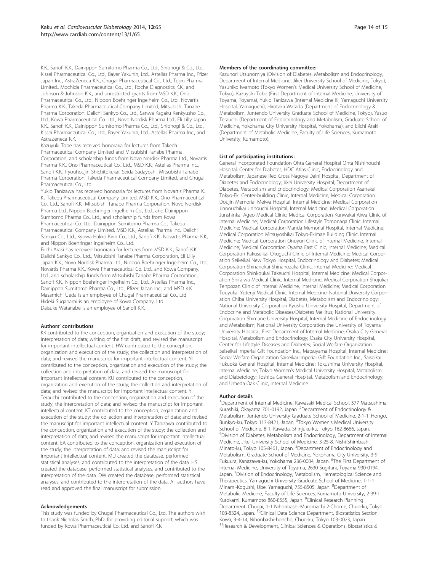K.K., Sanofi K.K., Dainippon Sumitomo Pharma Co., Ltd., Shionogi & Co., Ltd., Kissei Pharmaceutical Co., Ltd., Bayer Yakuhin, Ltd., Astellas Pharma Inc., Pfizer Japan Inc., AstraZeneca K.K., Chugai Pharmaceutical Co., Ltd., Teijin Pharma Limited., Mochida Pharmaceutical Co., Ltd., Roche Diagnostics K.K., and Johnson & Johnson K.K., and unrestricted grants from MSD K.K., Ono Pharmaceutical Co., Ltd., Nippon Boehringer Ingelheim Co., Ltd., Novartis Pharma K.K., Takeda Pharmaceutical Company Limited, Mitsubishi Tanabe Pharma Corporation, Daiichi Sankyo Co., Ltd., Sanwa Kagaku Kenkyusho Co., Ltd., Kowa Pharmaceutical Co. Ltd., Novo Nordisk Pharma Ltd., Eli Lilly Japan K.K., Sanofi K.K., Dainippon Sumitomo Pharma Co., Ltd., Shionogi & Co., Ltd., Kissei Pharmaceutical Co., Ltd., Bayer Yakuhin, Ltd., Astellas Pharma Inc., and AstraZeneca K.K.

Kazuyuki Tobe has received honoraria for lectures from Takeda Pharmaceutical Company Limited and Mitsubishi Tanabe Pharma Corporation, and scholarship funds from Novo Nordisk Pharma Ltd., Novartis Pharma K.K., Ono Pharmaceutical Co., Ltd., MSD K.K., Astellas Pharma Inc., Sanofi K.K., Iryouhoujin Shichitokukai, Seida Sadayoshi, Mitsubishi Tanabe Pharma Corporation, Takeda Pharmaceutical Company Limited, and Chugai Pharmaceutical Co., Ltd.

Yukio Tanizawa has received honoraria for lectures from Novartis Pharma K. K., Takeda Pharmaceutical Company Limited, MSD K.K., Ono Pharmaceutical Co., Ltd., Sanofi K.K., Mitsubishi Tanabe Pharma Corporation, Novo Nordisk Pharma Ltd., Nippon Boehringer Ingelheim Co., Ltd., and Dainippon Sumitomo Pharma Co., Ltd., and scholarship funds from Kowa Pharmaceutical Co. Ltd., Dainippon Sumitomo Pharma Co., Takeda Pharmaceutical Company Limited, MSD K.K., Astellas Pharma Inc., Daiichi Sankyo Co., Ltd., Kyowa Hakko Kirin Co., Ltd., Sanofi K.K., Novartis Pharma K.K., and Nippon Boehringer Ingelheim Co., Ltd.

Eiichi Araki has received honoraria for lectures from MSD K.K., Sanofi K.K., Daiichi Sankyo Co., Ltd., Mitsubishi Tanabe Pharma Corporation, Eli Lilly Japan K.K., Novo Nordisk Pharma Ltd., Nippon Boehringer Ingelheim Co., Ltd., Novartis Pharma K.K., Kowa Pharmaceutical Co. Ltd., and Kowa Company, Ltd., and scholarship funds from Mitsubishi Tanabe Pharma Corporation, Sanofi K.K., Nippon Boehringer Ingelheim Co., Ltd., Astellas Pharma Inc., Dainippon Sumitomo Pharma Co., Ltd., Pfizer Japan Inc., and MSD K.K. Masamichi Ueda is an employee of Chugai Pharmaceutical Co., Ltd. Hideki Suganami is an employee of Kowa Company, Ltd. Daisuke Watanabe is an employee of Sanofi K.K.

#### Authors' contributions

KK contributed to the conception, organization and execution of the study; interpretation of data; writing of the first draft; and revised the manuscript for important intellectual content. HW contributed to the conception, organization and execution of the study; the collection and interpretation of data; and revised the manuscript for important intellectual content. YI contributed to the conception, organization and execution of the study; the collection and interpretation of data; and revised the manuscript for important intellectual content. KU contributed to the conception, organization and execution of the study; the collection and interpretation of data; and revised the manuscript for important intellectual content. Y Terauchi contributed to the conception, organization and execution of the study; the interpretation of data; and revised the manuscript for important intellectual content. KT contributed to the conception, organization and execution of the study; the collection and interpretation of data; and revised the manuscript for important intellectual content. Y Tanizawa contributed to the conception, organization and execution of the study; the collection and interpretation of data; and revised the manuscript for important intellectual content. EA contributed to the conception, organization and execution of the study; the interpretation of data; and revised the manuscript for important intellectual content. MU created the database, performed statistical analyses, and contributed to the interpretation of the data. HS created the database, performed statistical analyses, and contributed to the interpretation of the data. DW created the database, performed statistical analyses, and contributed to the interpretation of the data. All authors have read and approved the final manuscript for submission.

#### Acknowledgements

This study was funded by Chugai Pharmaceutical Co., Ltd. The authors wish to thank Nicholas Smith, PhD, for providing editorial support, which was funded by Kowa Pharmaceutical Co. Ltd. and Sanofi K.K.

#### Members of the coordinating committee:

Kazunori Utsunomiya (Division of Diabetes, Metabolism and Endocrinology, Department of Internal Medicine, Jikei University School of Medicine, Tokyo), Yasuhiko Iwamoto (Tokyo Women's Medical University School of Medicine, Tokyo), Kazuyuki Tobe (First Department of Internal Medicine, University of Toyama, Toyama), Yukio Tanizawa (Internal Medicine III, Yamaguchi University Hospital, Yamaguchi), Hirotaka Watada (Department of Endocrinology & Metabolism, Juntendo University Graduate School of Medicine, Tokyo), Yasuo Terauchi (Department of Endocrinology and Metabolism, Graduate School of Medicine, Yokohama City University Hospital, Yokohama), and Eiichi Araki (Department of Metabolic Medicine, Faculty of Life Sciences, Kumamoto University, Kumamoto).

#### List of participating institutions:

General Incorporated Foundation Ohta General Hospital Ohta Nishinouchi Hospital, Center for Diabetes; HDC Atlas Clinic, Endocrinology and Metabolism; Japanese Red Cross Nagoya Daini Hospital, Department of Diabetes and Endocrinology; Jikei University Hospital, Department of Diabetes, Metabolism and Endocrinology; Medical Corporation Asanakai Tokyo-Eki Center-building Clinic, Internal Medicine; Medical Corporation Doujin Memorial Meiwa Hospital, Internal Medicine; Medical Corporation Jinnouchikai Jinnouchi Hospital, Internal Medicine; Medical Corporation Junshinkai Ageo Medical Clinic; Medical Corporation Kunwakai Aiwa Clinic of Internal Medicine; Medical Corporation Lifestyle Tomonaga Clinic, Internal Medicine; Medical Corporation Manda Memorial Hospital, Internal Medicine; Medical Corporation Mitsuyoshikai Tokyo-Ekimae Building Clinic, Internal Medicine; Medical Corporation Onoyuri Clinic of Internal Medicine, Internal Medicine; Medical Corporation Oyama East Clinic, Internal Medicine; Medical Corporation Rakuseikai Okuguchi Clinic of Internal Medicine; Medical Corporation Seikeikai New Tokyo Hospital, Endocrinology and Diabetes; Medical Corporation Shinanokai Shinanozaka Clinic, Internal Medicine; Medical Corporation Shinkoukai Takeuchi Hospital, Internal Medicine; Medical Corporation Shiraiwa Medical Clinic, Internal Medicine; Medical Corporation Shojukai Tenpozan Clinic of Internal Medicine, Internal Medicine; Medical Corporation Touyukai Yutenji Medical Clinic, Internal Medicine; National University Corporation Chiba University Hospital, Diabetes, Metabolism and Endocrinology; National University Corporation Kyushu University Hospital, Department of Endocrine and Metabolic Diseases/Diabetes Mellitus; National University Corporation Shimane University Hospital, Internal Medicine of Endocrinology and Metabolism; National University Corporation the University of Toyama University Hospital, First Department of Internal Medicine; Osaka City General Hospital, Metabolism and Endocrinology; Osaka City University Hospital, Center for Lifestyle Diseases and Diabetes; Social Welfare Organization Saiseikai Imperial Gift Foundation Inc., Matsuyama Hospital, Internal Medicine; Social Welfare Organization Saiseikai Imperial Gift Foundation Inc., Saiseikai Fukuoka General Hospital, Internal Medicine; Tokushima University Hospital, Internal Medicine; Tokyo Women's Medical University Hospital, Metabolism and Diabetology; Toshiba General Hospital, Metabolism and Endocrinology; and Umeda Oak Clinic, Internal Medicine.

#### Author details

<sup>1</sup>Department of Internal Medicine, Kawasaki Medical School, 577 Matsushima, Kurashiki, Okayama 701-0192, Japan. <sup>2</sup>Department of Endocrinology & Metabolism, Juntendo University Graduate School of Medicine, 2-1-1, Hongo, Bunkyo-ku, Tokyo 113-8421, Japan. <sup>3</sup>Tokyo Women's Medical University School of Medicine, 8-1, Kawada, Shinjuku-ku, Tokyo 162-8666, Japan. 4 Division of Diabetes, Metabolism and Endocrinology, Department of Internal Medicine, Jikei University School of Medicine, 3-25-8, Nishi-Shimbashi, Minato-ku, Tokyo 105-8461, Japan. <sup>5</sup>Department of Endocrinology and Metabolism, Graduate School of Medicine, Yokohama City University, 3-9 Fukuura, Kanazawa-ku, Yokohama 236-0004, Japan. <sup>6</sup>The First Department of Internal Medicine, University of Toyama, 2630 Sugitani, Toyama 930-0194, Japan. <sup>7</sup> Division of Endocrinology, Metabolism, Hematological Science and Therapeutics, Yamaguchi University Graduate School of Medicine, 1-1-1 Minami-Kogushi, Ube, Yamaguchi, 755-8505, Japan. <sup>8</sup>Department of Metabolic Medicine, Faculty of Life Sciences, Kumamoto University, 2-39-1 Kurokami, Kumamoto 860-8555, Japan. <sup>9</sup>Clinical Research Planning Department, Chugai, 1-1 Nihonbashi-Muromachi 2-Chome, Chuo-ku, Tokyo 103-8324, Japan. <sup>10</sup>Clinical Data Science Department, Biostatistics Section, Kowa, 3-4-14, Nihonbashi-honcho, Chuo-ku, Tokyo 103-0023, Japan. <sup>11</sup> Research & Development, Clinical Sciences & Operations, Biostatistics &